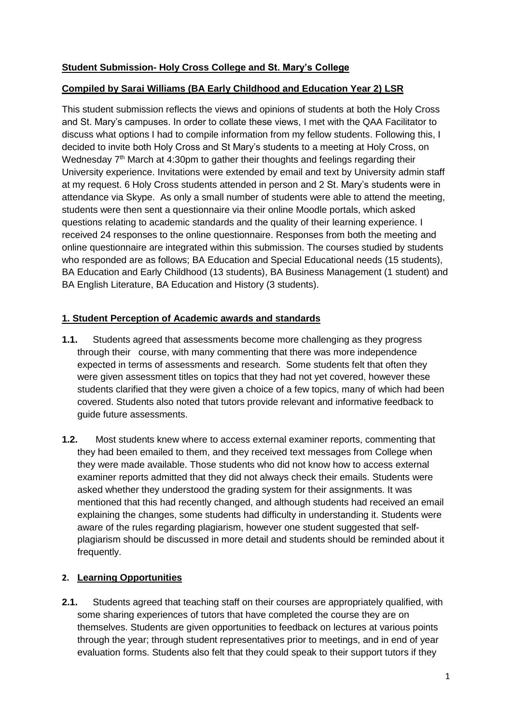# **Student Submission- Holy Cross College and St. Mary's College**

### **Compiled by Sarai Williams (BA Early Childhood and Education Year 2) LSR**

This student submission reflects the views and opinions of students at both the Holy Cross and St. Mary's campuses. In order to collate these views, I met with the QAA Facilitator to discuss what options I had to compile information from my fellow students. Following this, I decided to invite both Holy Cross and St Mary's students to a meeting at Holy Cross, on Wednesday 7<sup>th</sup> March at 4:30pm to gather their thoughts and feelings regarding their University experience. Invitations were extended by email and text by University admin staff at my request. 6 Holy Cross students attended in person and 2 St. Mary's students were in attendance via Skype. As only a small number of students were able to attend the meeting, students were then sent a questionnaire via their online Moodle portals, which asked questions relating to academic standards and the quality of their learning experience. I received 24 responses to the online questionnaire. Responses from both the meeting and online questionnaire are integrated within this submission. The courses studied by students who responded are as follows; BA Education and Special Educational needs (15 students), BA Education and Early Childhood (13 students), BA Business Management (1 student) and BA English Literature, BA Education and History (3 students).

### **1. Student Perception of Academic awards and standards**

- **1.1.** Students agreed that assessments become more challenging as they progress through their course, with many commenting that there was more independence expected in terms of assessments and research. Some students felt that often they were given assessment titles on topics that they had not yet covered, however these students clarified that they were given a choice of a few topics, many of which had been covered. Students also noted that tutors provide relevant and informative feedback to guide future assessments.
- **1.2.** Most students knew where to access external examiner reports, commenting that they had been emailed to them, and they received text messages from College when they were made available. Those students who did not know how to access external examiner reports admitted that they did not always check their emails. Students were asked whether they understood the grading system for their assignments. It was mentioned that this had recently changed, and although students had received an email explaining the changes, some students had difficulty in understanding it. Students were aware of the rules regarding plagiarism, however one student suggested that selfplagiarism should be discussed in more detail and students should be reminded about it frequently.

## **2. Learning Opportunities**

**2.1.** Students agreed that teaching staff on their courses are appropriately qualified, with some sharing experiences of tutors that have completed the course they are on themselves. Students are given opportunities to feedback on lectures at various points through the year; through student representatives prior to meetings, and in end of year evaluation forms. Students also felt that they could speak to their support tutors if they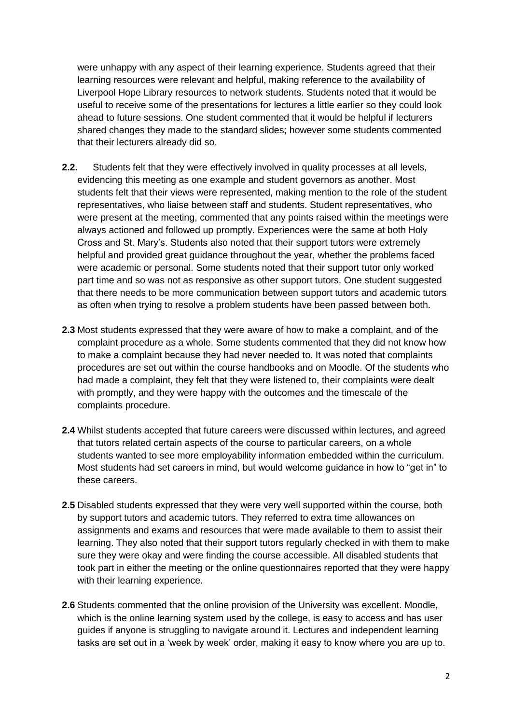were unhappy with any aspect of their learning experience. Students agreed that their learning resources were relevant and helpful, making reference to the availability of Liverpool Hope Library resources to network students. Students noted that it would be useful to receive some of the presentations for lectures a little earlier so they could look ahead to future sessions. One student commented that it would be helpful if lecturers shared changes they made to the standard slides; however some students commented that their lecturers already did so.

- **2.2.** Students felt that they were effectively involved in quality processes at all levels, evidencing this meeting as one example and student governors as another. Most students felt that their views were represented, making mention to the role of the student representatives, who liaise between staff and students. Student representatives, who were present at the meeting, commented that any points raised within the meetings were always actioned and followed up promptly. Experiences were the same at both Holy Cross and St. Mary's. Students also noted that their support tutors were extremely helpful and provided great guidance throughout the year, whether the problems faced were academic or personal. Some students noted that their support tutor only worked part time and so was not as responsive as other support tutors. One student suggested that there needs to be more communication between support tutors and academic tutors as often when trying to resolve a problem students have been passed between both.
- **2.3** Most students expressed that they were aware of how to make a complaint, and of the complaint procedure as a whole. Some students commented that they did not know how to make a complaint because they had never needed to. It was noted that complaints procedures are set out within the course handbooks and on Moodle. Of the students who had made a complaint, they felt that they were listened to, their complaints were dealt with promptly, and they were happy with the outcomes and the timescale of the complaints procedure.
- **2.4** Whilst students accepted that future careers were discussed within lectures, and agreed that tutors related certain aspects of the course to particular careers, on a whole students wanted to see more employability information embedded within the curriculum. Most students had set careers in mind, but would welcome guidance in how to "get in" to these careers.
- **2.5** Disabled students expressed that they were very well supported within the course, both by support tutors and academic tutors. They referred to extra time allowances on assignments and exams and resources that were made available to them to assist their learning. They also noted that their support tutors regularly checked in with them to make sure they were okay and were finding the course accessible. All disabled students that took part in either the meeting or the online questionnaires reported that they were happy with their learning experience.
- **2.6** Students commented that the online provision of the University was excellent. Moodle, which is the online learning system used by the college, is easy to access and has user guides if anyone is struggling to navigate around it. Lectures and independent learning tasks are set out in a 'week by week' order, making it easy to know where you are up to.